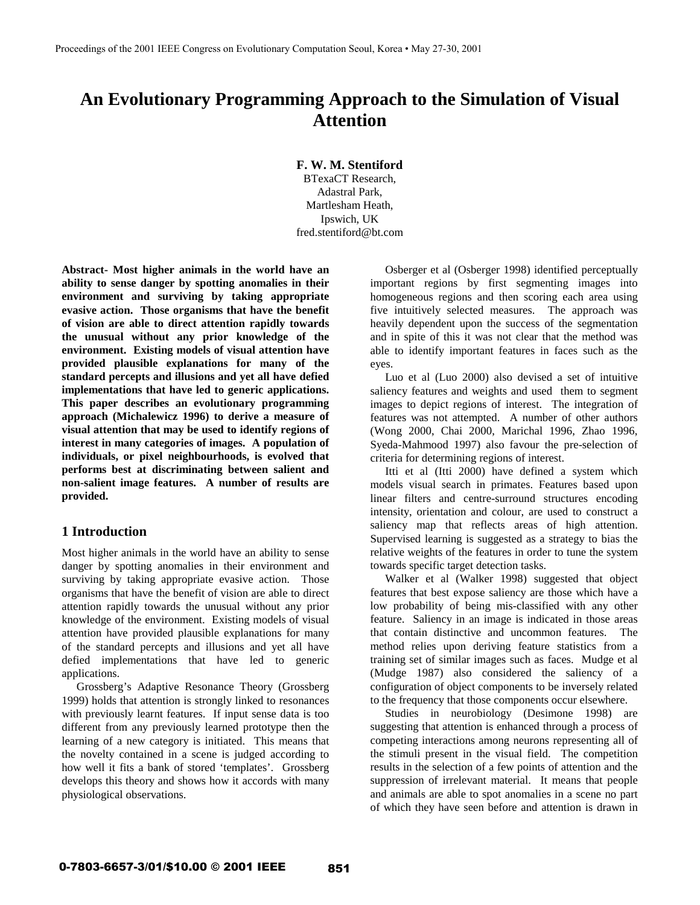# **An Evolutionary Programming Approach to the Simulation of Visual Attention**

**F. W. M. Stentiford**

BTexaCT Research, Adastral Park, Martlesham Heath, Ipswich, UK fred.stentiford@bt.com

**Abstract- Most higher animals in the world have an ability to sense danger by spotting anomalies in their environment and surviving by taking appropriate evasive action. Those organisms that have the benefit of vision are able to direct attention rapidly towards the unusual without any prior knowledge of the environment. Existing models of visual attention have provided plausible explanations for many of the standard percepts and illusions and yet all have defied implementations that have led to generic applications. This paper describes an evolutionary programming approach (Michalewicz 1996) to derive a measure of visual attention that may be used to identify regions of interest in many categories of images. A population of individuals, or pixel neighbourhoods, is evolved that performs best at discriminating between salient and non-salient image features. A number of results are provided.**

# **1 Introduction**

Most higher animals in the world have an ability to sense danger by spotting anomalies in their environment and surviving by taking appropriate evasive action. Those organisms that have the benefit of vision are able to direct attention rapidly towards the unusual without any prior knowledge of the environment. Existing models of visual attention have provided plausible explanations for many of the standard percepts and illusions and yet all have defied implementations that have led to generic applications.

Grossberg's Adaptive Resonance Theory (Grossberg 1999) holds that attention is strongly linked to resonances with previously learnt features. If input sense data is too different from any previously learned prototype then the learning of a new category is initiated. This means that the novelty contained in a scene is judged according to how well it fits a bank of stored 'templates'. Grossberg develops this theory and shows how it accords with many physiological observations.

Osberger et al (Osberger 1998) identified perceptually important regions by first segmenting images into homogeneous regions and then scoring each area using five intuitively selected measures. The approach was heavily dependent upon the success of the segmentation and in spite of this it was not clear that the method was able to identify important features in faces such as the eyes.

Luo et al (Luo 2000) also devised a set of intuitive saliency features and weights and used them to segment images to depict regions of interest. The integration of features was not attempted. A number of other authors (Wong 2000, Chai 2000, Marichal 1996, Zhao 1996, Syeda-Mahmood 1997) also favour the pre-selection of criteria for determining regions of interest.

Itti et al (Itti 2000) have defined a system which models visual search in primates. Features based upon linear filters and centre-surround structures encoding intensity, orientation and colour, are used to construct a saliency map that reflects areas of high attention. Supervised learning is suggested as a strategy to bias the relative weights of the features in order to tune the system towards specific target detection tasks.

Walker et al (Walker 1998) suggested that object features that best expose saliency are those which have a low probability of being mis-classified with any other feature. Saliency in an image is indicated in those areas that contain distinctive and uncommon features. The method relies upon deriving feature statistics from a training set of similar images such as faces. Mudge et al (Mudge 1987) also considered the saliency of a configuration of object components to be inversely related to the frequency that those components occur elsewhere.

Studies in neurobiology (Desimone 1998) are suggesting that attention is enhanced through a process of competing interactions among neurons representing all of the stimuli present in the visual field. The competition results in the selection of a few points of attention and the suppression of irrelevant material. It means that people and animals are able to spot anomalies in a scene no part of which they have seen before and attention is drawn in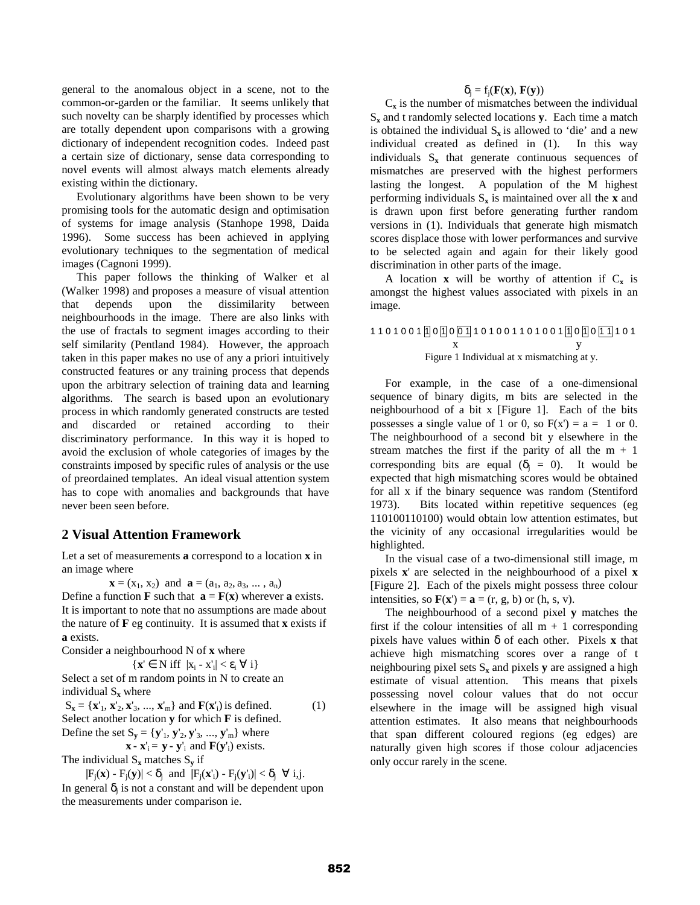general to the anomalous object in a scene, not to the common-or-garden or the familiar. It seems unlikely that such novelty can be sharply identified by processes which are totally dependent upon comparisons with a growing dictionary of independent recognition codes. Indeed past a certain size of dictionary, sense data corresponding to novel events will almost always match elements already existing within the dictionary.

Evolutionary algorithms have been shown to be very promising tools for the automatic design and optimisation of systems for image analysis (Stanhope 1998, Daida 1996). Some success has been achieved in applying evolutionary techniques to the segmentation of medical images (Cagnoni 1999).

This paper follows the thinking of Walker et al (Walker 1998) and proposes a measure of visual attention that depends upon the dissimilarity between neighbourhoods in the image. There are also links with the use of fractals to segment images according to their self similarity (Pentland 1984). However, the approach taken in this paper makes no use of any a priori intuitively constructed features or any training process that depends upon the arbitrary selection of training data and learning algorithms. The search is based upon an evolutionary process in which randomly generated constructs are tested and discarded or retained according to their discriminatory performance. In this way it is hoped to avoid the exclusion of whole categories of images by the constraints imposed by specific rules of analysis or the use of preordained templates. An ideal visual attention system has to cope with anomalies and backgrounds that have never been seen before.

## **2 Visual Attention Framework**

Let a set of measurements **a** correspond to a location **x** in an image where

 $\mathbf{x} = (x_1, x_2)$  and  $\mathbf{a} = (a_1, a_2, a_3, \dots, a_n)$ 

Define a function **F** such that  $\mathbf{a} = \mathbf{F}(\mathbf{x})$  wherever **a** exists. It is important to note that no assumptions are made about the nature of  $\bf{F}$  eg continuity. It is assumed that  $\bf{x}$  exists if **a** exists.

Consider a neighbourhood N of **x** where

$$
\{x' \in N \text{ iff } |x_i - x'_i| < \varepsilon_i \; \forall \; i\}
$$

Select a set of m random points in N to create an individual S**x** where

$$
S_x = \{x'_1, x'_2, x'_3, ..., x'_m\} \text{ and } F(x'_i) \text{ is defined.} \tag{1}
$$
  
Select another location **y** for which **F** is defined.  
Define the set  $S_{-} = \{v'_1, v'_2, v'_3, ..., v'_m\}$  where

 $\{ \mathbf{y}_1, \mathbf{y}_2, \mathbf{y}_3, \ldots \}$  $\mathbf{x} \cdot \mathbf{x}'$ <sub>i</sub> =  $\mathbf{y} \cdot \mathbf{y}'$ <sub>i</sub> and  $\mathbf{F}(\mathbf{y}'$ <sub>i</sub>) exists.

The individual  $S_x$  matches  $S_y$  if

 $|F_i(\mathbf{x}) - F_i(\mathbf{y})| < \delta_i$  and  $|F_i(\mathbf{x}_i') - F_i(\mathbf{y}_i')| < \delta_i \ \forall i,j$ . In general  $\delta$ <sub>i</sub> is not a constant and will be dependent upon the measurements under comparison ie.

#### $\delta_i = f_i(\mathbf{F}(\mathbf{x}), \mathbf{F}(\mathbf{v}))$

 $C_x$  is the number of mismatches between the individual  $S_x$  and t randomly selected locations **y**. Each time a match is obtained the individual  $S_x$  is allowed to 'die' and a new individual created as defined in (1). In this way individuals  $S_x$  that generate continuous sequences of mismatches are preserved with the highest performers lasting the longest. A population of the M highest performing individuals  $S_x$  is maintained over all the **x** and is drawn upon first before generating further random versions in (1). Individuals that generate high mismatch scores displace those with lower performances and survive to be selected again and again for their likely good discrimination in other parts of the image.

A location **x** will be worthy of attention if  $C_x$  is amongst the highest values associated with pixels in an image.

#### 1 1 0 1 0 0 1 1 0 1 0 0 1 1 0 1 0 0 1 1 0 1 0 0 1 1 0 1 0 1 1 1 0 1 x y Figure 1 Individual at x mismatching at y.

For example, in the case of a one-dimensional sequence of binary digits, m bits are selected in the neighbourhood of a bit x [Figure 1]. Each of the bits possesses a single value of 1 or 0, so  $F(x') = a = 1$  or 0. The neighbourhood of a second bit y elsewhere in the stream matches the first if the parity of all the  $m + 1$ corresponding bits are equal  $(\delta_i = 0)$ . It would be expected that high mismatching scores would be obtained for all x if the binary sequence was random (Stentiford 1973). Bits located within repetitive sequences (eg 110100110100) would obtain low attention estimates, but the vicinity of any occasional irregularities would be highlighted.

In the visual case of a two-dimensional still image, m pixels **x**' are selected in the neighbourhood of a pixel **x** [Figure 2]. Each of the pixels might possess three colour intensities, so  $\mathbf{F}(\mathbf{x}') = \mathbf{a} = (r, g, b)$  or (h, s, v).

The neighbourhood of a second pixel **y** matches the first if the colour intensities of all  $m + 1$  corresponding pixels have values within δ of each other. Pixels **x** that achieve high mismatching scores over a range of t neighbouring pixel sets  $S_x$  and pixels **y** are assigned a high estimate of visual attention. This means that pixels possessing novel colour values that do not occur elsewhere in the image will be assigned high visual attention estimates. It also means that neighbourhoods that span different coloured regions (eg edges) are naturally given high scores if those colour adjacencies only occur rarely in the scene.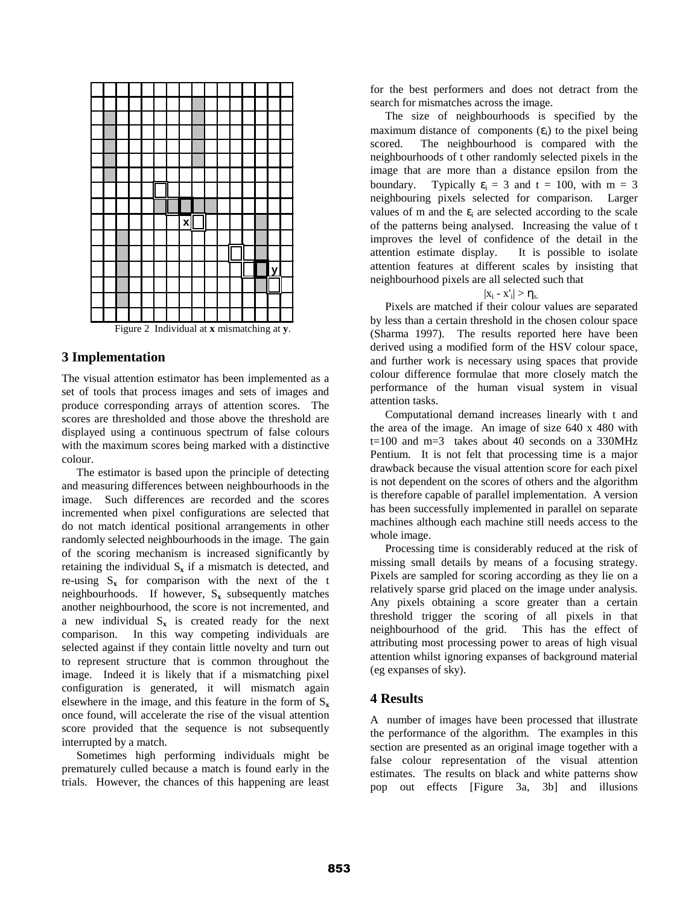

Figure 2 Individual at **x** mismatching at **y**.

## **3 Implementation**

The visual attention estimator has been implemented as a set of tools that process images and sets of images and produce corresponding arrays of attention scores. The scores are thresholded and those above the threshold are displayed using a continuous spectrum of false colours with the maximum scores being marked with a distinctive colour.

The estimator is based upon the principle of detecting and measuring differences between neighbourhoods in the image. Such differences are recorded and the scores incremented when pixel configurations are selected that do not match identical positional arrangements in other randomly selected neighbourhoods in the image. The gain of the scoring mechanism is increased significantly by retaining the individual  $S_x$  if a mismatch is detected, and re-using  $S_x$  for comparison with the next of the t neighbourhoods. If however,  $S_x$  subsequently matches another neighbourhood, the score is not incremented, and a new individual  $S_x$  is created ready for the next comparison. In this way competing individuals are selected against if they contain little novelty and turn out to represent structure that is common throughout the image. Indeed it is likely that if a mismatching pixel configuration is generated, it will mismatch again elsewhere in the image, and this feature in the form of  $S_x$ once found, will accelerate the rise of the visual attention score provided that the sequence is not subsequently interrupted by a match.

Sometimes high performing individuals might be prematurely culled because a match is found early in the trials. However, the chances of this happening are least for the best performers and does not detract from the search for mismatches across the image.

The size of neighbourhoods is specified by the maximum distance of components  $(\epsilon_i)$  to the pixel being scored. The neighbourhood is compared with the neighbourhoods of t other randomly selected pixels in the image that are more than a distance epsilon from the boundary. Typically  $\varepsilon_i = 3$  and  $t = 100$ , with  $m = 3$ neighbouring pixels selected for comparison. Larger values of m and the  $\varepsilon$ <sub>i</sub> are selected according to the scale of the patterns being analysed. Increasing the value of t improves the level of confidence of the detail in the attention estimate display. It is possible to isolate attention features at different scales by insisting that neighbourhood pixels are all selected such that

#### $|x_i - x'_i| > \eta_{s.}$

Pixels are matched if their colour values are separated by less than a certain threshold in the chosen colour space (Sharma 1997). The results reported here have been derived using a modified form of the HSV colour space, and further work is necessary using spaces that provide colour difference formulae that more closely match the performance of the human visual system in visual attention tasks.

Computational demand increases linearly with t and the area of the image. An image of size 640 x 480 with  $t=100$  and m=3 takes about 40 seconds on a 330MHz Pentium. It is not felt that processing time is a major drawback because the visual attention score for each pixel is not dependent on the scores of others and the algorithm is therefore capable of parallel implementation. A version has been successfully implemented in parallel on separate machines although each machine still needs access to the whole image.

Processing time is considerably reduced at the risk of missing small details by means of a focusing strategy. Pixels are sampled for scoring according as they lie on a relatively sparse grid placed on the image under analysis. Any pixels obtaining a score greater than a certain threshold trigger the scoring of all pixels in that neighbourhood of the grid. This has the effect of attributing most processing power to areas of high visual attention whilst ignoring expanses of background material (eg expanses of sky).

## **4 Results**

A number of images have been processed that illustrate the performance of the algorithm. The examples in this section are presented as an original image together with a false colour representation of the visual attention estimates. The results on black and white patterns show pop out effects [Figure 3a, 3b] and illusions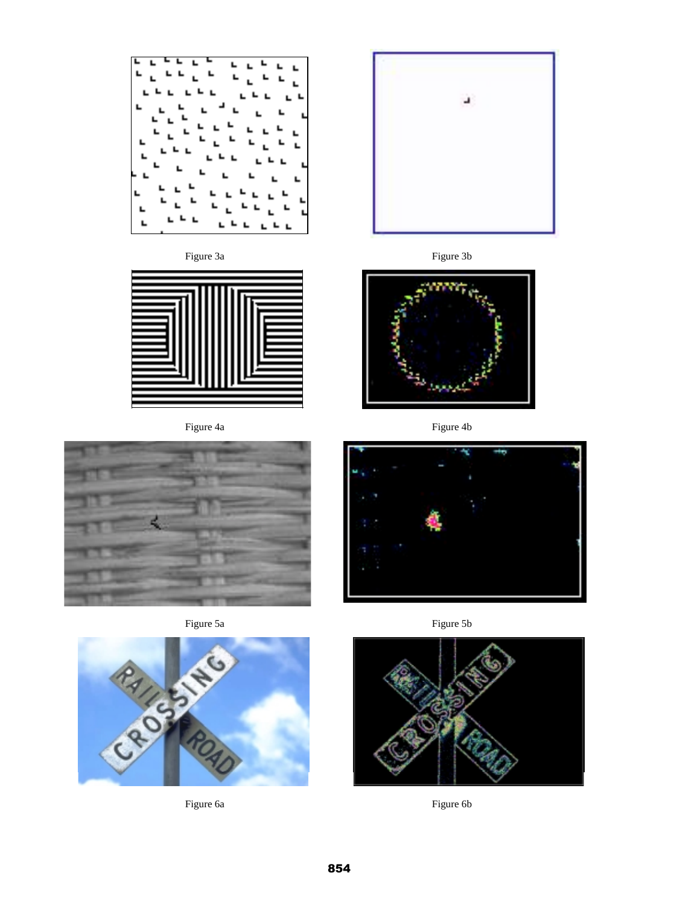

Figure 3a Figure 3b



















Figure 6a Figure 6b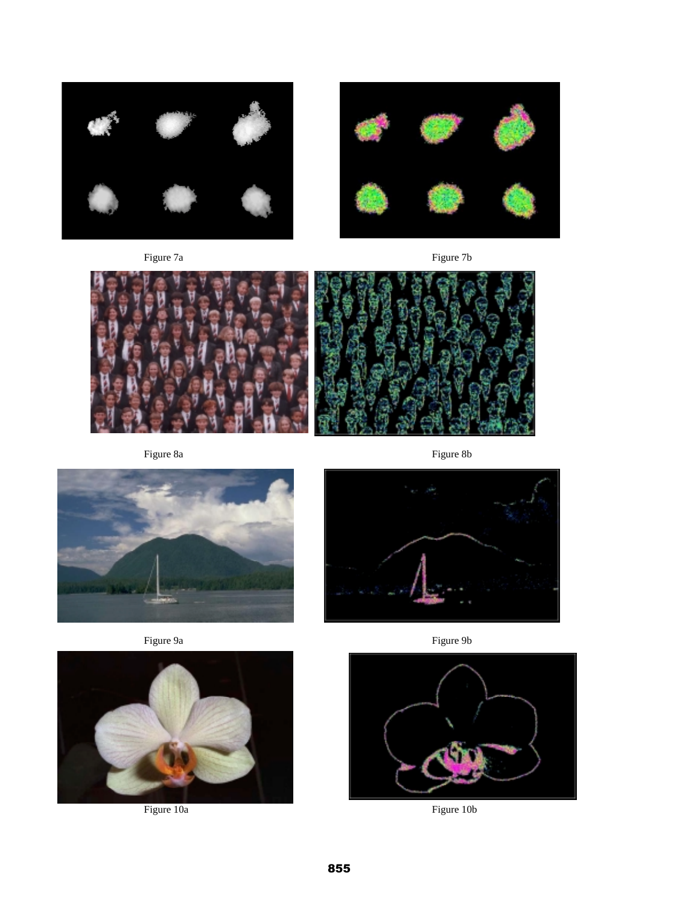

Figure 7a Figure 7b







Figure 8a Figure 8b



Figure 9a Figure 9b





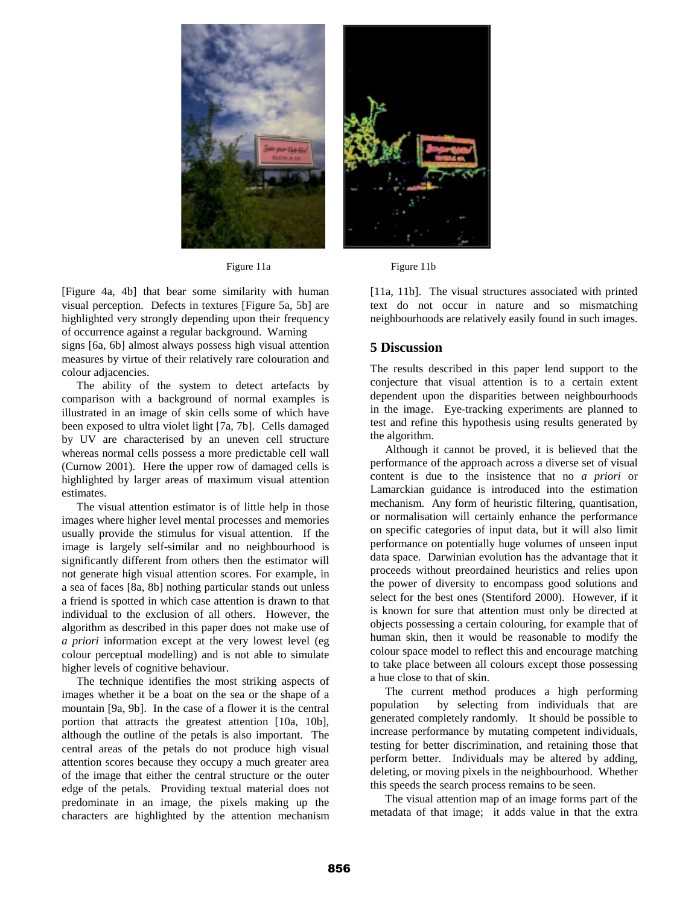

Figure 11a Figure 11b

[Figure 4a, 4b] that bear some similarity with human visual perception. Defects in textures [Figure 5a, 5b] are highlighted very strongly depending upon their frequency of occurrence against a regular background. Warning

signs [6a, 6b] almost always possess high visual attention measures by virtue of their relatively rare colouration and colour adjacencies.

The ability of the system to detect artefacts by comparison with a background of normal examples is illustrated in an image of skin cells some of which have been exposed to ultra violet light [7a, 7b]. Cells damaged by UV are characterised by an uneven cell structure whereas normal cells possess a more predictable cell wall (Curnow 2001). Here the upper row of damaged cells is highlighted by larger areas of maximum visual attention estimates.

The visual attention estimator is of little help in those images where higher level mental processes and memories usually provide the stimulus for visual attention. If the image is largely self-similar and no neighbourhood is significantly different from others then the estimator will not generate high visual attention scores. For example, in a sea of faces [8a, 8b] nothing particular stands out unless a friend is spotted in which case attention is drawn to that individual to the exclusion of all others. However, the algorithm as described in this paper does not make use of *a priori* information except at the very lowest level (eg colour perceptual modelling) and is not able to simulate higher levels of cognitive behaviour.

The technique identifies the most striking aspects of images whether it be a boat on the sea or the shape of a mountain [9a, 9b]. In the case of a flower it is the central portion that attracts the greatest attention [10a, 10b], although the outline of the petals is also important. The central areas of the petals do not produce high visual attention scores because they occupy a much greater area of the image that either the central structure or the outer edge of the petals. Providing textual material does not predominate in an image, the pixels making up the characters are highlighted by the attention mechanism

[11a, 11b]. The visual structures associated with printed text do not occur in nature and so mismatching neighbourhoods are relatively easily found in such images.

## **5 Discussion**

The results described in this paper lend support to the conjecture that visual attention is to a certain extent dependent upon the disparities between neighbourhoods in the image. Eye-tracking experiments are planned to test and refine this hypothesis using results generated by the algorithm.

Although it cannot be proved, it is believed that the performance of the approach across a diverse set of visual content is due to the insistence that no *a priori* or Lamarckian guidance is introduced into the estimation mechanism. Any form of heuristic filtering, quantisation, or normalisation will certainly enhance the performance on specific categories of input data, but it will also limit performance on potentially huge volumes of unseen input data space. Darwinian evolution has the advantage that it proceeds without preordained heuristics and relies upon the power of diversity to encompass good solutions and select for the best ones (Stentiford 2000). However, if it is known for sure that attention must only be directed at objects possessing a certain colouring, for example that of human skin, then it would be reasonable to modify the colour space model to reflect this and encourage matching to take place between all colours except those possessing a hue close to that of skin.

The current method produces a high performing population by selecting from individuals that are generated completely randomly. It should be possible to increase performance by mutating competent individuals, testing for better discrimination, and retaining those that perform better. Individuals may be altered by adding, deleting, or moving pixels in the neighbourhood. Whether this speeds the search process remains to be seen.

The visual attention map of an image forms part of the metadata of that image; it adds value in that the extra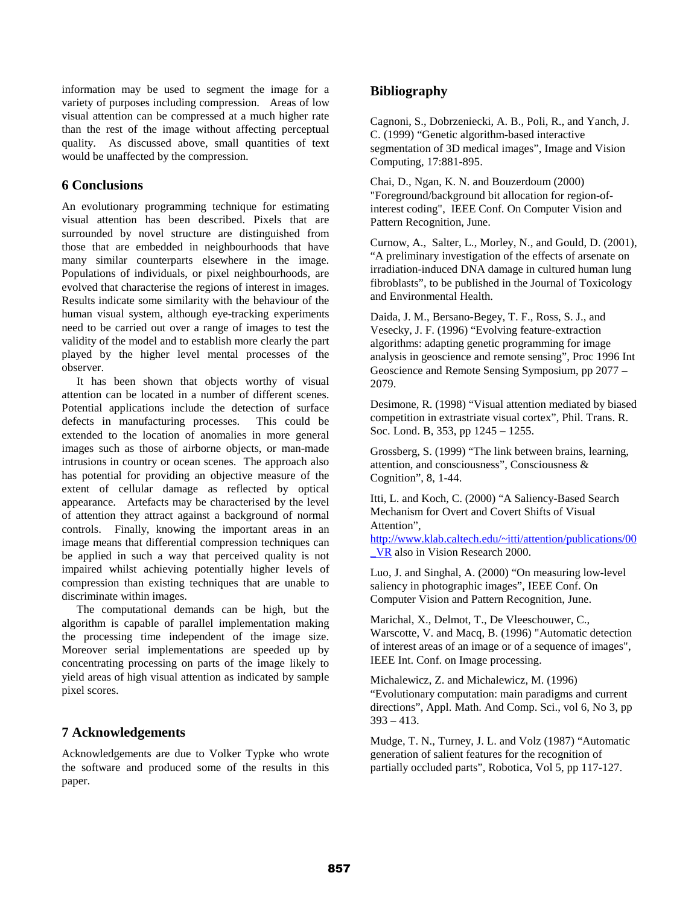information may be used to segment the image for a variety of purposes including compression. Areas of low visual attention can be compressed at a much higher rate than the rest of the image without affecting perceptual quality. As discussed above, small quantities of text would be unaffected by the compression.

# **6 Conclusions**

An evolutionary programming technique for estimating visual attention has been described. Pixels that are surrounded by novel structure are distinguished from those that are embedded in neighbourhoods that have many similar counterparts elsewhere in the image. Populations of individuals, or pixel neighbourhoods, are evolved that characterise the regions of interest in images. Results indicate some similarity with the behaviour of the human visual system, although eye-tracking experiments need to be carried out over a range of images to test the validity of the model and to establish more clearly the part played by the higher level mental processes of the observer.

It has been shown that objects worthy of visual attention can be located in a number of different scenes. Potential applications include the detection of surface defects in manufacturing processes. This could be extended to the location of anomalies in more general images such as those of airborne objects, or man-made intrusions in country or ocean scenes. The approach also has potential for providing an objective measure of the extent of cellular damage as reflected by optical appearance. Artefacts may be characterised by the level of attention they attract against a background of normal controls. Finally, knowing the important areas in an image means that differential compression techniques can be applied in such a way that perceived quality is not impaired whilst achieving potentially higher levels of compression than existing techniques that are unable to discriminate within images.

The computational demands can be high, but the algorithm is capable of parallel implementation making the processing time independent of the image size. Moreover serial implementations are speeded up by concentrating processing on parts of the image likely to yield areas of high visual attention as indicated by sample pixel scores.

# **7 Acknowledgements**

Acknowledgements are due to Volker Typke who wrote the software and produced some of the results in this paper.

# **Bibliography**

Cagnoni, S., Dobrzeniecki, A. B., Poli, R., and Yanch, J. C. (1999) "Genetic algorithm-based interactive segmentation of 3D medical images", Image and Vision Computing, 17:881-895.

Chai, D., Ngan, K. N. and Bouzerdoum (2000) "Foreground/background bit allocation for region-ofinterest coding", IEEE Conf. On Computer Vision and Pattern Recognition, June.

Curnow, A., Salter, L., Morley, N., and Gould, D. (2001), "A preliminary investigation of the effects of arsenate on irradiation-induced DNA damage in cultured human lung fibroblasts", to be published in the Journal of Toxicology and Environmental Health.

Daida, J. M., Bersano-Begey, T. F., Ross, S. J., and Vesecky, J. F. (1996) "Evolving feature-extraction algorithms: adapting genetic programming for image analysis in geoscience and remote sensing", Proc 1996 Int Geoscience and Remote Sensing Symposium, pp 2077 – 2079.

Desimone, R. (1998) "Visual attention mediated by biased competition in extrastriate visual cortex", Phil. Trans. R. Soc. Lond. B, 353, pp 1245 – 1255.

Grossberg, S. (1999) "The link between brains, learning, attention, and consciousness", Consciousness & Cognition", 8, 1-44.

Itti, L. and Koch, C. (2000) "A Saliency-Based Search Mechanism for Overt and Covert Shifts of Visual Attention",

[http://www.klab.caltech.edu/~itti/attention/publications/00](http://www.klab.caltech.edu/~itti/attention/publications/00_VR) [\\_VR](http://www.klab.caltech.edu/~itti/attention/publications/00_VR) also in Vision Research 2000.

Luo, J. and Singhal, A. (2000) "On measuring low-level saliency in photographic images", IEEE Conf. On Computer Vision and Pattern Recognition, June.

Marichal, X., Delmot, T., De Vleeschouwer, C., Warscotte, V. and Macq, B. (1996) "Automatic detection of interest areas of an image or of a sequence of images", IEEE Int. Conf. on Image processing.

Michalewicz, Z. and Michalewicz, M. (1996) "Evolutionary computation: main paradigms and current directions", Appl. Math. And Comp. Sci., vol 6, No 3, pp  $393 - 413$ .

Mudge, T. N., Turney, J. L. and Volz (1987) "Automatic generation of salient features for the recognition of partially occluded parts", Robotica, Vol 5, pp 117-127.